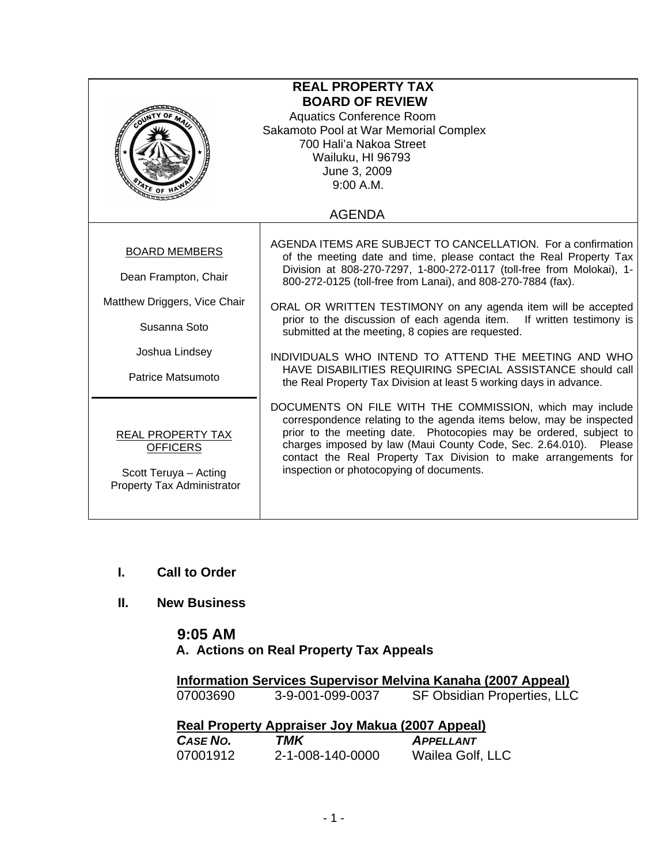| <b>REAL PROPERTY TAX</b><br><b>BOARD OF REVIEW</b><br><b>Aquatics Conference Room</b><br>Sakamoto Pool at War Memorial Complex<br>700 Hali'a Nakoa Street<br>Wailuku, HI 96793<br>June 3, 2009<br>9:00 A.M. |                                                                                                                                                                                                                                                                                                                                                                                                                      |  |
|-------------------------------------------------------------------------------------------------------------------------------------------------------------------------------------------------------------|----------------------------------------------------------------------------------------------------------------------------------------------------------------------------------------------------------------------------------------------------------------------------------------------------------------------------------------------------------------------------------------------------------------------|--|
|                                                                                                                                                                                                             | <b>AGENDA</b>                                                                                                                                                                                                                                                                                                                                                                                                        |  |
| <b>BOARD MEMBERS</b><br>Dean Frampton, Chair<br>Matthew Driggers, Vice Chair<br>Susanna Soto                                                                                                                | AGENDA ITEMS ARE SUBJECT TO CANCELLATION. For a confirmation<br>of the meeting date and time, please contact the Real Property Tax<br>Division at 808-270-7297, 1-800-272-0117 (toll-free from Molokai), 1-<br>800-272-0125 (toll-free from Lanai), and 808-270-7884 (fax).<br>ORAL OR WRITTEN TESTIMONY on any agenda item will be accepted<br>prior to the discussion of each agenda item. If written testimony is |  |
| Joshua Lindsey<br>Patrice Matsumoto                                                                                                                                                                         | submitted at the meeting, 8 copies are requested.<br>INDIVIDUALS WHO INTEND TO ATTEND THE MEETING AND WHO<br>HAVE DISABILITIES REQUIRING SPECIAL ASSISTANCE should call<br>the Real Property Tax Division at least 5 working days in advance.                                                                                                                                                                        |  |
| <b>REAL PROPERTY TAX</b><br><b>OFFICERS</b><br>Scott Teruya - Acting<br>Property Tax Administrator                                                                                                          | DOCUMENTS ON FILE WITH THE COMMISSION, which may include<br>correspondence relating to the agenda items below, may be inspected<br>prior to the meeting date. Photocopies may be ordered, subject to<br>charges imposed by law (Maui County Code, Sec. 2.64.010). Please<br>contact the Real Property Tax Division to make arrangements for<br>inspection or photocopying of documents.                              |  |

- **I. Call to Order**
- **II. New Business**

### **9:05 AM A. Actions on Real Property Tax Appeals**

|                      |                                                        | Information Services Supervisor Melvina Kanaha (2007 Appeal) |
|----------------------|--------------------------------------------------------|--------------------------------------------------------------|
| 07003690             | 3-9-001-099-0037                                       | <b>SF Obsidian Properties, LLC</b>                           |
|                      |                                                        |                                                              |
|                      |                                                        |                                                              |
|                      | <b>Real Property Appraiser Joy Makua (2007 Appeal)</b> |                                                              |
| CASE NO.<br>07001912 | TMK<br>2-1-008-140-0000                                | <b>APPELLANT</b>                                             |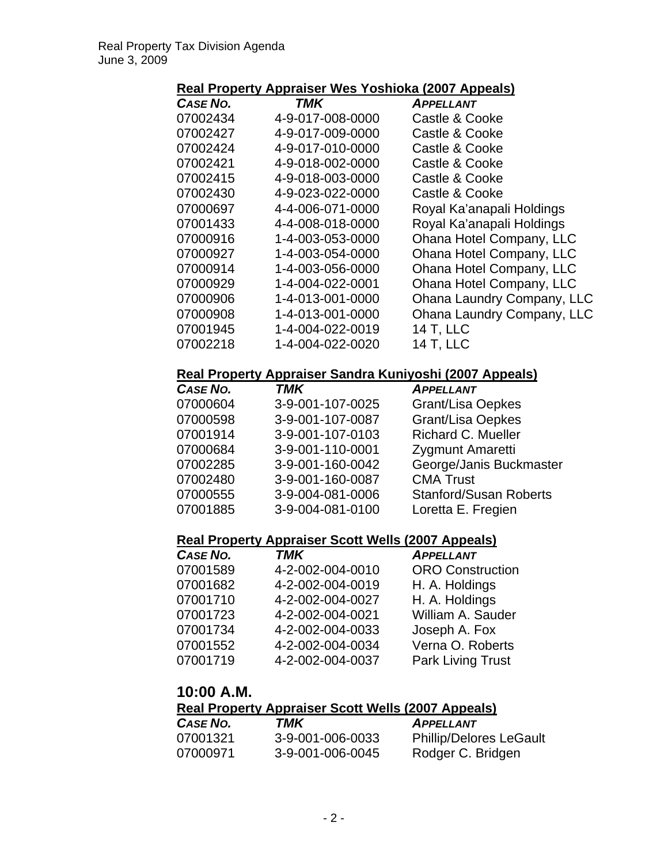## **Real Property Appraiser Wes Yoshioka (2007 Appeals)**

| CASE NO. | <b>TMK</b>       | <b>APPELLANT</b>           |
|----------|------------------|----------------------------|
| 07002434 | 4-9-017-008-0000 | Castle & Cooke             |
| 07002427 | 4-9-017-009-0000 | Castle & Cooke             |
| 07002424 | 4-9-017-010-0000 | Castle & Cooke             |
| 07002421 | 4-9-018-002-0000 | Castle & Cooke             |
| 07002415 | 4-9-018-003-0000 | Castle & Cooke             |
| 07002430 | 4-9-023-022-0000 | Castle & Cooke             |
| 07000697 | 4-4-006-071-0000 | Royal Ka'anapali Holdings  |
| 07001433 | 4-4-008-018-0000 | Royal Ka'anapali Holdings  |
| 07000916 | 1-4-003-053-0000 | Ohana Hotel Company, LLC   |
| 07000927 | 1-4-003-054-0000 | Ohana Hotel Company, LLC   |
| 07000914 | 1-4-003-056-0000 | Ohana Hotel Company, LLC   |
| 07000929 | 1-4-004-022-0001 | Ohana Hotel Company, LLC   |
| 07000906 | 1-4-013-001-0000 | Ohana Laundry Company, LLC |
| 07000908 | 1-4-013-001-0000 | Ohana Laundry Company, LLC |
| 07001945 | 1-4-004-022-0019 | <b>14 T, LLC</b>           |
| 07002218 | 1-4-004-022-0020 | <b>14 T. LLC</b>           |
|          |                  |                            |

## **Real Property Appraiser Sandra Kuniyoshi (2007 Appeals)**

| CASE NO. | <b>TMK</b>       | <b>APPELLANT</b>              |
|----------|------------------|-------------------------------|
| 07000604 | 3-9-001-107-0025 | <b>Grant/Lisa Oepkes</b>      |
| 07000598 | 3-9-001-107-0087 | <b>Grant/Lisa Oepkes</b>      |
| 07001914 | 3-9-001-107-0103 | Richard C. Mueller            |
| 07000684 | 3-9-001-110-0001 | Zygmunt Amaretti              |
| 07002285 | 3-9-001-160-0042 | George/Janis Buckmaster       |
| 07002480 | 3-9-001-160-0087 | <b>CMA Trust</b>              |
| 07000555 | 3-9-004-081-0006 | <b>Stanford/Susan Roberts</b> |
| 07001885 | 3-9-004-081-0100 | Loretta E. Fregien            |

## **Real Property Appraiser Scott Wells (2007 Appeals)**

| CASE NO. | <b>TMK</b>       | <b>APPELLANT</b>         |
|----------|------------------|--------------------------|
| 07001589 | 4-2-002-004-0010 | <b>ORO Construction</b>  |
| 07001682 | 4-2-002-004-0019 | H. A. Holdings           |
| 07001710 | 4-2-002-004-0027 | H. A. Holdings           |
| 07001723 | 4-2-002-004-0021 | William A. Sauder        |
| 07001734 | 4-2-002-004-0033 | Joseph A. Fox            |
| 07001552 | 4-2-002-004-0034 | Verna O. Roberts         |
| 07001719 | 4-2-002-004-0037 | <b>Park Living Trust</b> |

# **10:00 A.M.**

### **Real Property Appraiser Scott Wells (2007 Appeals)**

| CASE NO. | TMK              | <b>APPELLANT</b>               |
|----------|------------------|--------------------------------|
| 07001321 | 3-9-001-006-0033 | <b>Phillip/Delores LeGault</b> |
| 07000971 | 3-9-001-006-0045 | Rodger C. Bridgen              |